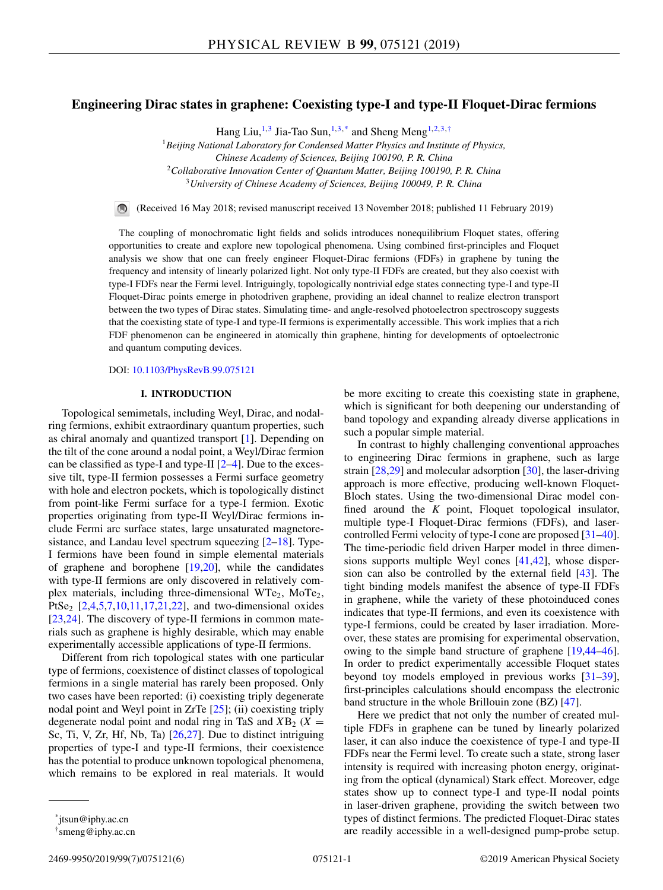# **Engineering Dirac states in graphene: Coexisting type-I and type-II Floquet-Dirac fermions**

Hang Liu,<sup>1,3</sup> Jia-Tao Sun,<sup>1,3,\*</sup> and Sheng Meng<sup>1,2,3,†</sup>

<sup>1</sup>*Beijing National Laboratory for Condensed Matter Physics and Institute of Physics, Chinese Academy of Sciences, Beijing 100190, P. R. China* <sup>2</sup>*Collaborative Innovation Center of Quantum Matter, Beijing 100190, P. R. China*

<sup>3</sup>*University of Chinese Academy of Sciences, Beijing 100049, P. R. China*

(Received 16 May 2018; revised manuscript received 13 November 2018; published 11 February 2019)

The coupling of monochromatic light fields and solids introduces nonequilibrium Floquet states, offering opportunities to create and explore new topological phenomena. Using combined first-principles and Floquet analysis we show that one can freely engineer Floquet-Dirac fermions (FDFs) in graphene by tuning the frequency and intensity of linearly polarized light. Not only type-II FDFs are created, but they also coexist with type-I FDFs near the Fermi level. Intriguingly, topologically nontrivial edge states connecting type-I and type-II Floquet-Dirac points emerge in photodriven graphene, providing an ideal channel to realize electron transport between the two types of Dirac states. Simulating time- and angle-resolved photoelectron spectroscopy suggests that the coexisting state of type-I and type-II fermions is experimentally accessible. This work implies that a rich FDF phenomenon can be engineered in atomically thin graphene, hinting for developments of optoelectronic and quantum computing devices.

DOI: [10.1103/PhysRevB.99.075121](https://doi.org/10.1103/PhysRevB.99.075121)

## **I. INTRODUCTION**

Topological semimetals, including Weyl, Dirac, and nodalring fermions, exhibit extraordinary quantum properties, such as chiral anomaly and quantized transport [\[1\]](#page-3-0). Depending on the tilt of the cone around a nodal point, a Weyl/Dirac fermion can be classified as type-I and type-II [\[2–4\]](#page-3-0). Due to the excessive tilt, type-II fermion possesses a Fermi surface geometry with hole and electron pockets, which is topologically distinct from point-like Fermi surface for a type-I fermion. Exotic properties originating from type-II Weyl/Dirac fermions include Fermi arc surface states, large unsaturated magnetoresistance, and Landau level spectrum squeezing [\[2–](#page-3-0)[18\]](#page-4-0). Type-I fermions have been found in simple elemental materials of graphene and borophene [\[19,20\]](#page-4-0), while the candidates with type-II fermions are only discovered in relatively complex materials, including three-dimensional  $WTe_2$ ,  $MoTe_2$ , PtSe<sub>2</sub> [\[2,4](#page-3-0)[,5,7,10,11,17,21,22\]](#page-4-0), and two-dimensional oxides [\[23,24\]](#page-4-0). The discovery of type-II fermions in common materials such as graphene is highly desirable, which may enable experimentally accessible applications of type-II fermions.

Different from rich topological states with one particular type of fermions, coexistence of distinct classes of topological fermions in a single material has rarely been proposed. Only two cases have been reported: (i) coexisting triply degenerate nodal point and Weyl point in ZrTe [\[25\]](#page-4-0); (ii) coexisting triply degenerate nodal point and nodal ring in TaS and  $XB_2$  ( $X =$ Sc, Ti, V, Zr, Hf, Nb, Ta) [\[26,27\]](#page-4-0). Due to distinct intriguing properties of type-I and type-II fermions, their coexistence has the potential to produce unknown topological phenomena, which remains to be explored in real materials. It would be more exciting to create this coexisting state in graphene, which is significant for both deepening our understanding of band topology and expanding already diverse applications in such a popular simple material.

In contrast to highly challenging conventional approaches to engineering Dirac fermions in graphene, such as large strain  $[28,29]$  and molecular adsorption  $[30]$ , the laser-driving approach is more effective, producing well-known Floquet-Bloch states. Using the two-dimensional Dirac model confined around the *K* point, Floquet topological insulator, multiple type-I Floquet-Dirac fermions (FDFs), and lasercontrolled Fermi velocity of type-I cone are proposed [\[31](#page-4-0)[–40\]](#page-5-0). The time-periodic field driven Harper model in three dimensions supports multiple Weyl cones [\[41,42\]](#page-5-0), whose dispersion can also be controlled by the external field [\[43\]](#page-5-0). The tight binding models manifest the absence of type-II FDFs in graphene, while the variety of these photoinduced cones indicates that type-II fermions, and even its coexistence with type-I fermions, could be created by laser irradiation. Moreover, these states are promising for experimental observation, owing to the simple band structure of graphene [\[19](#page-4-0)[,44–46\]](#page-5-0). In order to predict experimentally accessible Floquet states beyond toy models employed in previous works [\[31](#page-4-0)[–39\]](#page-5-0), first-principles calculations should encompass the electronic band structure in the whole Brillouin zone (BZ) [\[47\]](#page-5-0).

Here we predict that not only the number of created multiple FDFs in graphene can be tuned by linearly polarized laser, it can also induce the coexistence of type-I and type-II FDFs near the Fermi level. To create such a state, strong laser intensity is required with increasing photon energy, originating from the optical (dynamical) Stark effect. Moreover, edge states show up to connect type-I and type-II nodal points in laser-driven graphene, providing the switch between two types of distinct fermions. The predicted Floquet-Dirac states are readily accessible in a well-designed pump-probe setup.

<sup>\*</sup>jtsun@iphy.ac.cn

<sup>†</sup>smeng@iphy.ac.cn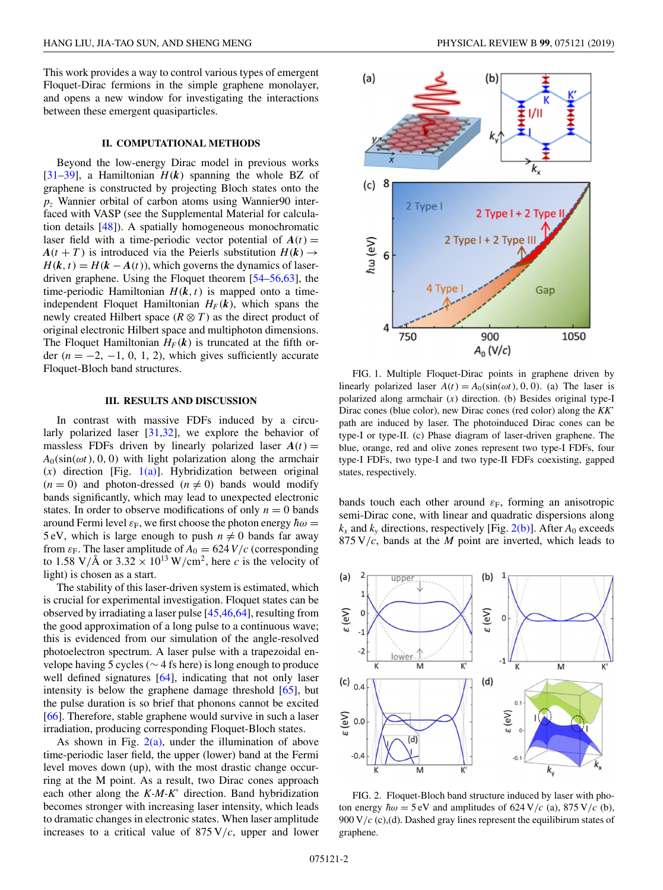<span id="page-1-0"></span>This work provides a way to control various types of emergent Floquet-Dirac fermions in the simple graphene monolayer, and opens a new window for investigating the interactions between these emergent quasiparticles.

## **II. COMPUTATIONAL METHODS**

Beyond the low-energy Dirac model in previous works [\[31–](#page-4-0)[39\]](#page-5-0), a Hamiltonian  $H(k)$  spanning the whole BZ of graphene is constructed by projecting Bloch states onto the *pz* Wannier orbital of carbon atoms using Wannier90 interfaced with VASP (see the Supplemental Material for calculation details [\[48\]](#page-5-0)). A spatially homogeneous monochromatic laser field with a time-periodic vector potential of  $A(t)$  =  $A(t + T)$  is introduced via the Peierls substitution  $H(k) \rightarrow$  $H(k, t) = H(k - A(t))$ , which governs the dynamics of laserdriven graphene. Using the Floquet theorem [\[54–56,63\]](#page-5-0), the time-periodic Hamiltonian  $H(k, t)$  is mapped onto a timeindependent Floquet Hamiltonian  $H_F(k)$ , which spans the newly created Hilbert space  $(R \otimes T)$  as the direct product of original electronic Hilbert space and multiphoton dimensions. The Floquet Hamiltonian  $H_F(k)$  is truncated at the fifth order  $(n = -2, -1, 0, 1, 2)$ , which gives sufficiently accurate Floquet-Bloch band structures.

### **III. RESULTS AND DISCUSSION**

In contrast with massive FDFs induced by a circularly polarized laser [\[31,32\]](#page-4-0), we explore the behavior of massless FDFs driven by linearly polarized laser  $A(t)$  =  $A_0(\sin(\omega t), 0, 0)$  with light polarization along the armchair  $(x)$  direction [Fig. 1(a)]. Hybridization between original  $(n = 0)$  and photon-dressed  $(n \neq 0)$  bands would modify bands significantly, which may lead to unexpected electronic states. In order to observe modifications of only  $n = 0$  bands around Fermi level  $\varepsilon_F$ , we first choose the photon energy  $\hbar\omega =$ 5 eV, which is large enough to push  $n \neq 0$  bands far away from  $\varepsilon_F$ . The laser amplitude of  $A_0 = 624 V/c$  (corresponding to 1.58 V/Å or  $3.32 \times 10^{13}$  W/cm<sup>2</sup>, here *c* is the velocity of light) is chosen as a start.

The stability of this laser-driven system is estimated, which is crucial for experimental investigation. Floquet states can be observed by irradiating a laser pulse [\[45,46,64\]](#page-5-0), resulting from the good approximation of a long pulse to a continuous wave; this is evidenced from our simulation of the angle-resolved photoelectron spectrum. A laser pulse with a trapezoidal envelope having 5 cycles (∼ 4 fs here) is long enough to produce well defined signatures [\[64\]](#page-5-0), indicating that not only laser intensity is below the graphene damage threshold  $[65]$ , but the pulse duration is so brief that phonons cannot be excited [\[66\]](#page-5-0). Therefore, stable graphene would survive in such a laser irradiation, producing corresponding Floquet-Bloch states.

As shown in Fig.  $2(a)$ , under the illumination of above time-periodic laser field, the upper (lower) band at the Fermi level moves down (up), with the most drastic change occurring at the M point. As a result, two Dirac cones approach each other along the *K-M-K*' direction. Band hybridization becomes stronger with increasing laser intensity, which leads to dramatic changes in electronic states. When laser amplitude increases to a critical value of  $875 \text{ V}/c$ , upper and lower



FIG. 1. Multiple Floquet-Dirac points in graphene driven by linearly polarized laser  $A(t) = A_0(\sin(\omega t), 0, 0)$ . (a) The laser is polarized along armchair (*x*) direction. (b) Besides original type-I Dirac cones (blue color), new Dirac cones (red color) along the *KK*' path are induced by laser. The photoinduced Dirac cones can be type-I or type-II. (c) Phase diagram of laser-driven graphene. The blue, orange, red and olive zones represent two type-I FDFs, four type-I FDFs, two type-I and two type-II FDFs coexisting, gapped states, respectively.

bands touch each other around  $\varepsilon_F$ , forming an anisotropic semi-Dirac cone, with linear and quadratic dispersions along  $k_x$  and  $k_y$  directions, respectively [Fig. 2(b)]. After  $A_0$  exceeds 875 V/*c*, bands at the *M* point are inverted, which leads to



FIG. 2. Floquet-Bloch band structure induced by laser with photon energy  $\hbar \omega = 5 \text{ eV}$  and amplitudes of 624 V/*c* (a), 875 V/*c* (b), 900 V/*c* (c),(d). Dashed gray lines represent the equilibirum states of graphene.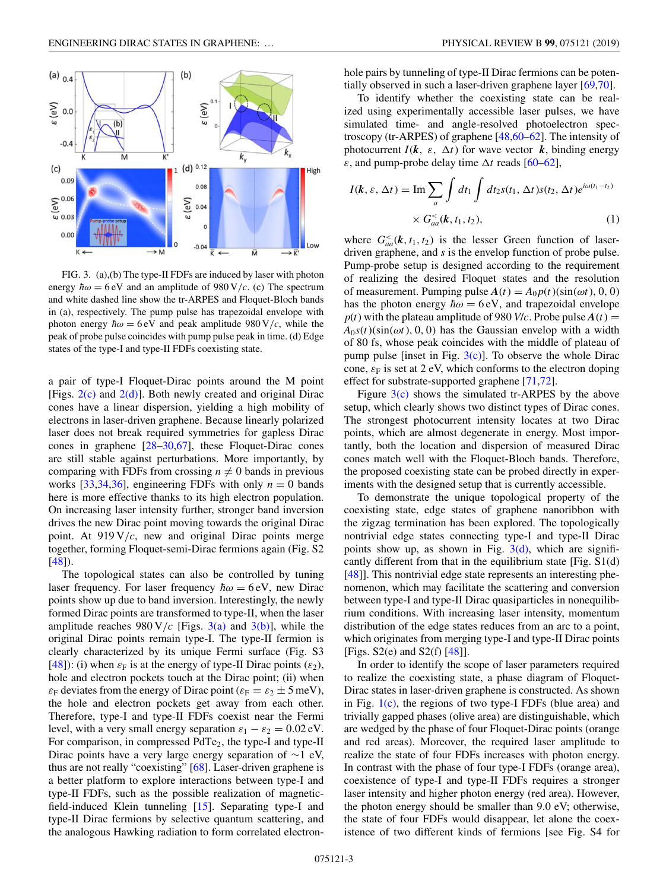

FIG. 3. (a),(b) The type-II FDFs are induced by laser with photon energy  $\hbar \omega = 6$  eV and an amplitude of 980 V/*c*. (c) The spectrum and white dashed line show the tr-ARPES and Floquet-Bloch bands in (a), respectively. The pump pulse has trapezoidal envelope with photon energy  $\hbar \omega = 6 \text{ eV}$  and peak amplitude 980 V/*c*, while the peak of probe pulse coincides with pump pulse peak in time. (d) Edge states of the type-I and type-II FDFs coexisting state.

a pair of type-I Floquet-Dirac points around the M point [Figs.  $2(c)$  and  $2(d)$ ]. Both newly created and original Dirac cones have a linear dispersion, yielding a high mobility of electrons in laser-driven graphene. Because linearly polarized laser does not break required symmetries for gapless Dirac cones in graphene [\[28–30,](#page-4-0)[67\]](#page-5-0), these Floquet-Dirac cones are still stable against perturbations. More importantly, by comparing with FDFs from crossing  $n \neq 0$  bands in previous works [\[33,34,36\]](#page-5-0), engineering FDFs with only  $n = 0$  bands here is more effective thanks to its high electron population. On increasing laser intensity further, stronger band inversion drives the new Dirac point moving towards the original Dirac point. At 919 V/*c*, new and original Dirac points merge together, forming Floquet-semi-Dirac fermions again (Fig. S2 [\[48\]](#page-5-0)).

The topological states can also be controlled by tuning laser frequency. For laser frequency  $\hbar \omega = 6 \text{ eV}$ , new Dirac points show up due to band inversion. Interestingly, the newly formed Dirac points are transformed to type-II, when the laser amplitude reaches  $980 \text{ V}/c$  [Figs. 3(a) and 3(b)], while the original Dirac points remain type-I. The type-II fermion is clearly characterized by its unique Fermi surface (Fig. S3 [\[48\]](#page-5-0)): (i) when  $\varepsilon_F$  is at the energy of type-II Dirac points ( $\varepsilon_2$ ), hole and electron pockets touch at the Dirac point; (ii) when  $\varepsilon_F$  deviates from the energy of Dirac point ( $\varepsilon_F = \varepsilon_2 \pm 5$  meV), the hole and electron pockets get away from each other. Therefore, type-I and type-II FDFs coexist near the Fermi level, with a very small energy separation  $\varepsilon_1 - \varepsilon_2 = 0.02$  eV. For comparison, in compressed PdTe<sub>2</sub>, the type-I and type-II Dirac points have a very large energy separation of ∼1 eV, thus are not really "coexisting" [\[68\]](#page-5-0). Laser-driven graphene is a better platform to explore interactions between type-I and type-II FDFs, such as the possible realization of magneticfield-induced Klein tunneling [\[15\]](#page-4-0). Separating type-I and type-II Dirac fermions by selective quantum scattering, and the analogous Hawking radiation to form correlated electronhole pairs by tunneling of type-II Dirac fermions can be potentially observed in such a laser-driven graphene layer [\[69,70\]](#page-5-0).

To identify whether the coexisting state can be realized using experimentally accessible laser pulses, we have simulated time- and angle-resolved photoelectron spectroscopy (tr-ARPES) of graphene  $[48, 60 - 62]$ . The intensity of photocurrent  $I(k, \varepsilon, \Delta t)$  for wave vector  $k$ , binding energy  $\varepsilon$ , and pump-probe delay time  $\Delta t$  reads [\[60–62\]](#page-5-0),

$$
I(\mathbf{k}, \varepsilon, \Delta t) = \operatorname{Im} \sum_{a} \int dt_1 \int dt_2 s(t_1, \Delta t) s(t_2, \Delta t) e^{i\omega(t_1 - t_2)}
$$
  
 
$$
\times G_{aa}^<(\mathbf{k}, t_1, t_2), \tag{1}
$$

where  $G_{aa}^<(k, t_1, t_2)$  is the lesser Green function of laserdriven graphene, and *s* is the envelop function of probe pulse. Pump-probe setup is designed according to the requirement of realizing the desired Floquet states and the resolution of measurement. Pumping pulse  $A(t) = A_0 p(t)(\sin(\omega t), 0, 0)$ has the photon energy  $\hbar \omega = 6$  eV, and trapezoidal envelope  $p(t)$  with the plateau amplitude of 980 *V*/*c*. Probe pulse  $A(t) =$  $A_0s(t)(\sin(\omega t), 0, 0)$  has the Gaussian envelop with a width of 80 fs, whose peak coincides with the middle of plateau of pump pulse [inset in Fig.  $3(c)$ ]. To observe the whole Dirac cone,  $\varepsilon_F$  is set at 2 eV, which conforms to the electron doping effect for substrate-supported graphene [\[71,72\]](#page-5-0).

Figure  $3(c)$  shows the simulated tr-ARPES by the above setup, which clearly shows two distinct types of Dirac cones. The strongest photocurrent intensity locates at two Dirac points, which are almost degenerate in energy. Most importantly, both the location and dispersion of measured Dirac cones match well with the Floquet-Bloch bands. Therefore, the proposed coexisting state can be probed directly in experiments with the designed setup that is currently accessible.

To demonstrate the unique topological property of the coexisting state, edge states of graphene nanoribbon with the zigzag termination has been explored. The topologically nontrivial edge states connecting type-I and type-II Dirac points show up, as shown in Fig.  $3(d)$ , which are significantly different from that in the equilibrium state [Fig. S1(d) [\[48\]](#page-5-0)]. This nontrivial edge state represents an interesting phenomenon, which may facilitate the scattering and conversion between type-I and type-II Dirac quasiparticles in nonequilibrium conditions. With increasing laser intensity, momentum distribution of the edge states reduces from an arc to a point, which originates from merging type-I and type-II Dirac points [Figs. S2(e) and S2(f)  $[48]$ ].

In order to identify the scope of laser parameters required to realize the coexisting state, a phase diagram of Floquet-Dirac states in laser-driven graphene is constructed. As shown in Fig.  $1(c)$ , the regions of two type-I FDFs (blue area) and trivially gapped phases (olive area) are distinguishable, which are wedged by the phase of four Floquet-Dirac points (orange and red areas). Moreover, the required laser amplitude to realize the state of four FDFs increases with photon energy. In contrast with the phase of four type-I FDFs (orange area), coexistence of type-I and type-II FDFs requires a stronger laser intensity and higher photon energy (red area). However, the photon energy should be smaller than 9.0 eV; otherwise, the state of four FDFs would disappear, let alone the coexistence of two different kinds of fermions [see Fig. S4 for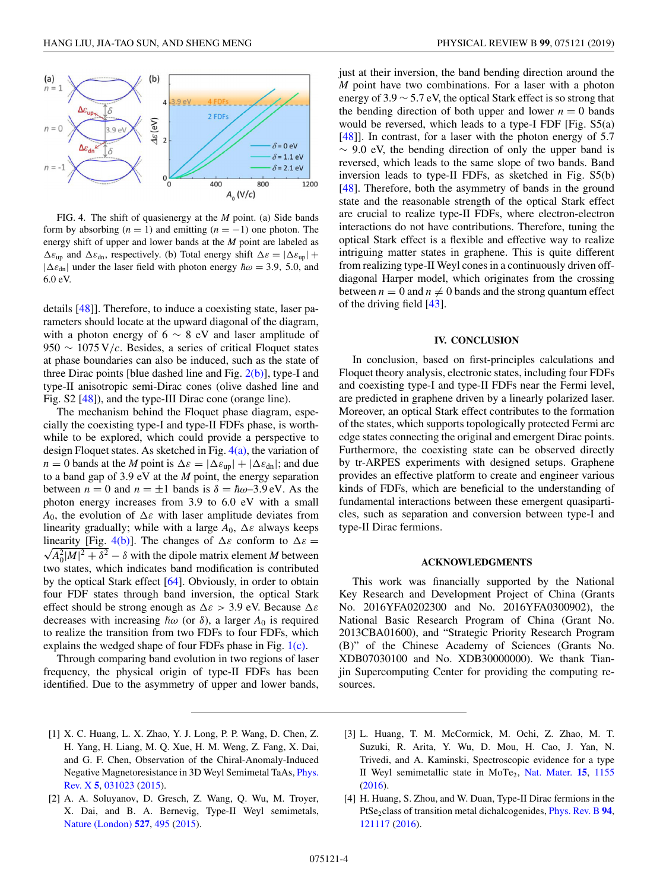<span id="page-3-0"></span>

FIG. 4. The shift of quasienergy at the *M* point. (a) Side bands form by absorbing  $(n = 1)$  and emitting  $(n = -1)$  one photon. The energy shift of upper and lower bands at the *M* point are labeled as  $\Delta \varepsilon_{\text{up}}$  and  $\Delta \varepsilon_{\text{dn}}$ , respectively. (b) Total energy shift  $\Delta \varepsilon = |\Delta \varepsilon_{\text{up}}| +$  $|\Delta \varepsilon_{dn}|$  under the laser field with photon energy  $\hbar \omega = 3.9$ , 5.0, and 6.0 eV.

details [\[48\]](#page-5-0)]. Therefore, to induce a coexisting state, laser parameters should locate at the upward diagonal of the diagram, with a photon energy of 6  $\sim$  8 eV and laser amplitude of 950 ∼ 1075 V/*c*. Besides, a series of critical Floquet states at phase boundaries can also be induced, such as the state of three Dirac points [blue dashed line and Fig.  $2(b)$ ], type-I and type-II anisotropic semi-Dirac cones (olive dashed line and Fig. S2 [\[48\]](#page-5-0)), and the type-III Dirac cone (orange line).

The mechanism behind the Floquet phase diagram, especially the coexisting type-I and type-II FDFs phase, is worthwhile to be explored, which could provide a perspective to design Floquet states. As sketched in Fig.  $4(a)$ , the variation of *n* = 0 bands at the *M* point is  $\Delta \varepsilon = |\Delta \varepsilon_{up}| + |\Delta \varepsilon_{dn}|$ ; and due to a band gap of 3.9 eV at the *M* point, the energy separation between  $n = 0$  and  $n = \pm 1$  bands is  $\delta = \hbar \omega - 3.9 \text{ eV}$ . As the photon energy increases from 3.9 to 6.0 eV with a small  $A_0$ , the evolution of  $\Delta \varepsilon$  with laser amplitude deviates from linearity gradually; while with a large  $A_0$ ,  $\Delta \varepsilon$  always keeps linearity [Fig. 4(b)]. The changes of  $\Delta \varepsilon$  conform to  $\Delta \varepsilon$  =  $\sqrt{A_0^2 |M|^2 + \delta^2} - \delta$  with the dipole matrix element *M* between two states, which indicates band modification is contributed by the optical Stark effect [\[64\]](#page-5-0). Obviously, in order to obtain four FDF states through band inversion, the optical Stark effect should be strong enough as  $\Delta \varepsilon > 3.9$  eV. Because  $\Delta \varepsilon$ decreases with increasing  $\hbar \omega$  (or  $\delta$ ), a larger  $A_0$  is required to realize the transition from two FDFs to four FDFs, which explains the wedged shape of four FDFs phase in Fig. [1\(c\).](#page-1-0)

Through comparing band evolution in two regions of laser frequency, the physical origin of type-II FDFs has been identified. Due to the asymmetry of upper and lower bands, just at their inversion, the band bending direction around the *M* point have two combinations. For a laser with a photon energy of 3.9 ∼ 5.7 eV, the optical Stark effect is so strong that the bending direction of both upper and lower  $n = 0$  bands would be reversed, which leads to a type-I FDF [Fig. S5(a) [\[48\]](#page-5-0)]. In contrast, for a laser with the photon energy of 5.7  $\sim$  9.0 eV, the bending direction of only the upper band is reversed, which leads to the same slope of two bands. Band inversion leads to type-II FDFs, as sketched in Fig. S5(b) [\[48\]](#page-5-0). Therefore, both the asymmetry of bands in the ground state and the reasonable strength of the optical Stark effect are crucial to realize type-II FDFs, where electron-electron interactions do not have contributions. Therefore, tuning the optical Stark effect is a flexible and effective way to realize intriguing matter states in graphene. This is quite different from realizing type-II Weyl cones in a continuously driven offdiagonal Harper model, which originates from the crossing between  $n = 0$  and  $n \neq 0$  bands and the strong quantum effect of the driving field [\[43\]](#page-5-0).

#### **IV. CONCLUSION**

In conclusion, based on first-principles calculations and Floquet theory analysis, electronic states, including four FDFs and coexisting type-I and type-II FDFs near the Fermi level, are predicted in graphene driven by a linearly polarized laser. Moreover, an optical Stark effect contributes to the formation of the states, which supports topologically protected Fermi arc edge states connecting the original and emergent Dirac points. Furthermore, the coexisting state can be observed directly by tr-ARPES experiments with designed setups. Graphene provides an effective platform to create and engineer various kinds of FDFs, which are beneficial to the understanding of fundamental interactions between these emergent quasiparticles, such as separation and conversion between type-I and type-II Dirac fermions.

### **ACKNOWLEDGMENTS**

This work was financially supported by the National Key Research and Development Project of China (Grants No. 2016YFA0202300 and No. 2016YFA0300902), the National Basic Research Program of China (Grant No. 2013CBA01600), and "Strategic Priority Research Program (B)" of the Chinese Academy of Sciences (Grants No. XDB07030100 and No. XDB30000000). We thank Tianjin Supercomputing Center for providing the computing resources.

- [1] X. C. Huang, L. X. Zhao, Y. J. Long, P. P. Wang, D. Chen, Z. H. Yang, H. Liang, M. Q. Xue, H. M. Weng, Z. Fang, X. Dai, and G. F. Chen, Observation of the Chiral-Anomaly-Induced [Negative Magnetoresistance in 3D Weyl Semimetal TaAs,](https://doi.org/10.1103/PhysRevX.5.031023) Phys. Rev. X **[5](https://doi.org/10.1103/PhysRevX.5.031023)**, [031023](https://doi.org/10.1103/PhysRevX.5.031023) [\(2015\)](https://doi.org/10.1103/PhysRevX.5.031023).
- [2] A. A. Soluyanov, D. Gresch, Z. Wang, Q. Wu, M. Troyer, X. Dai, and B. A. Bernevig, Type-II Weyl semimetals, [Nature \(London\)](https://doi.org/10.1038/nature15768) **[527](https://doi.org/10.1038/nature15768)**, [495](https://doi.org/10.1038/nature15768) [\(2015\)](https://doi.org/10.1038/nature15768).
- [3] L. Huang, T. M. McCormick, M. Ochi, Z. Zhao, M. T. Suzuki, R. Arita, Y. Wu, D. Mou, H. Cao, J. Yan, N. Trivedi, and A. Kaminski, Spectroscopic evidence for a type II Weyl semimetallic state in MoTe<sub>2</sub>, [Nat. Mater.](https://doi.org/10.1038/nmat4685) **[15](https://doi.org/10.1038/nmat4685)**, [1155](https://doi.org/10.1038/nmat4685) [\(2016\)](https://doi.org/10.1038/nmat4685).
- [4] H. Huang, S. Zhou, and W. Duan, Type-II Dirac fermions in the PtSe<sub>2</sub>class of transition metal dichalcogenides, [Phys. Rev. B](https://doi.org/10.1103/PhysRevB.94.121117) [94](https://doi.org/10.1103/PhysRevB.94.121117), [121117](https://doi.org/10.1103/PhysRevB.94.121117) [\(2016\)](https://doi.org/10.1103/PhysRevB.94.121117).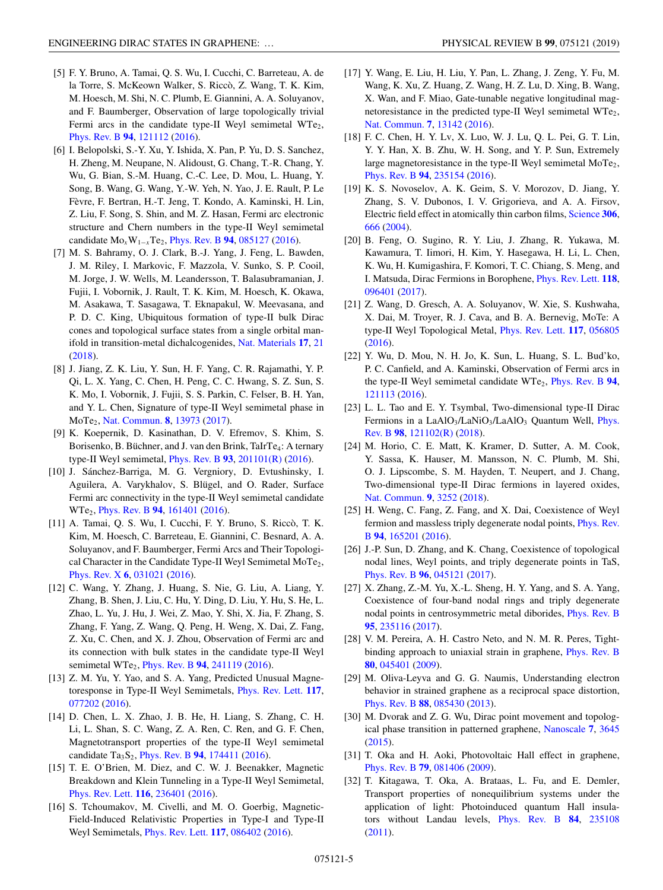- <span id="page-4-0"></span>[5] F. Y. Bruno, A. Tamai, Q. S. Wu, I. Cucchi, C. Barreteau, A. de la Torre, S. McKeown Walker, S. Riccò, Z. Wang, T. K. Kim, M. Hoesch, M. Shi, N. C. Plumb, E. Giannini, A. A. Soluyanov, and F. Baumberger, Observation of large topologically trivial Fermi arcs in the candidate type-II Weyl semimetal WTe<sub>2</sub>, [Phys. Rev. B](https://doi.org/10.1103/PhysRevB.94.121112) **[94](https://doi.org/10.1103/PhysRevB.94.121112)**, [121112](https://doi.org/10.1103/PhysRevB.94.121112) [\(2016\)](https://doi.org/10.1103/PhysRevB.94.121112).
- [6] I. Belopolski, S.-Y. Xu, Y. Ishida, X. Pan, P. Yu, D. S. Sanchez, H. Zheng, M. Neupane, N. Alidoust, G. Chang, T.-R. Chang, Y. Wu, G. Bian, S.-M. Huang, C.-C. Lee, D. Mou, L. Huang, Y. Song, B. Wang, G. Wang, Y.-W. Yeh, N. Yao, J. E. Rault, P. Le Fèvre, F. Bertran, H.-T. Jeng, T. Kondo, A. Kaminski, H. Lin, Z. Liu, F. Song, S. Shin, and M. Z. Hasan, Fermi arc electronic structure and Chern numbers in the type-II Weyl semimetal candidate Mo*x*W1−*<sup>x</sup>*Te2, [Phys. Rev. B](https://doi.org/10.1103/PhysRevB.94.085127) **[94](https://doi.org/10.1103/PhysRevB.94.085127)**, [085127](https://doi.org/10.1103/PhysRevB.94.085127) [\(2016\)](https://doi.org/10.1103/PhysRevB.94.085127).
- [7] M. S. Bahramy, O. J. Clark, B.-J. Yang, J. Feng, L. Bawden, J. M. Riley, I. Markovic, F. Mazzola, V. Sunko, S. P. Cooil, M. Jorge, J. W. Wells, M. Leandersson, T. Balasubramanian, J. Fujii, I. Vobornik, J. Rault, T. K. Kim, M. Hoesch, K. Okawa, M. Asakawa, T. Sasagawa, T. Eknapakul, W. Meevasana, and P. D. C. King, Ubiquitous formation of type-II bulk Dirac cones and topological surface states from a single orbital manifold in transition-metal dichalcogenides, [Nat. Materials](https://doi.org/10.1038/nmat5031) **[17](https://doi.org/10.1038/nmat5031)**, [21](https://doi.org/10.1038/nmat5031) [\(2018\)](https://doi.org/10.1038/nmat5031).
- [8] J. Jiang, Z. K. Liu, Y. Sun, H. F. Yang, C. R. Rajamathi, Y. P. Qi, L. X. Yang, C. Chen, H. Peng, C. C. Hwang, S. Z. Sun, S. K. Mo, I. Vobornik, J. Fujii, S. S. Parkin, C. Felser, B. H. Yan, and Y. L. Chen, Signature of type-II Weyl semimetal phase in MoTe2, [Nat. Commun.](https://doi.org/10.1038/ncomms13973) **[8](https://doi.org/10.1038/ncomms13973)**, [13973](https://doi.org/10.1038/ncomms13973) [\(2017\)](https://doi.org/10.1038/ncomms13973).
- [9] K. Koepernik, D. Kasinathan, D. V. Efremov, S. Khim, S. Borisenko, B. Büchner, and J. van den Brink, TaIrTe4: A ternary type-II Weyl semimetal, [Phys. Rev. B](https://doi.org/10.1103/PhysRevB.93.201101) **[93](https://doi.org/10.1103/PhysRevB.93.201101)**, [201101\(R\)](https://doi.org/10.1103/PhysRevB.93.201101) [\(2016\)](https://doi.org/10.1103/PhysRevB.93.201101).
- [10] J. Sánchez-Barriga, M. G. Vergniory, D. Evtushinsky, I. Aguilera, A. Varykhalov, S. Blügel, and O. Rader, Surface Fermi arc connectivity in the type-II Weyl semimetal candidate WTe2, [Phys. Rev. B](https://doi.org/10.1103/PhysRevB.94.161401) **[94](https://doi.org/10.1103/PhysRevB.94.161401)**, [161401](https://doi.org/10.1103/PhysRevB.94.161401) [\(2016\)](https://doi.org/10.1103/PhysRevB.94.161401).
- [11] A. Tamai, Q. S. Wu, I. Cucchi, F. Y. Bruno, S. Riccò, T. K. Kim, M. Hoesch, C. Barreteau, E. Giannini, C. Besnard, A. A. Soluyanov, and F. Baumberger, Fermi Arcs and Their Topological Character in the Candidate Type-II Weyl Semimetal MoTe<sub>2</sub>, [Phys. Rev. X](https://doi.org/10.1103/PhysRevX.6.031021) **[6](https://doi.org/10.1103/PhysRevX.6.031021)**, [031021](https://doi.org/10.1103/PhysRevX.6.031021) [\(2016\)](https://doi.org/10.1103/PhysRevX.6.031021).
- [12] C. Wang, Y. Zhang, J. Huang, S. Nie, G. Liu, A. Liang, Y. Zhang, B. Shen, J. Liu, C. Hu, Y. Ding, D. Liu, Y. Hu, S. He, L. Zhao, L. Yu, J. Hu, J. Wei, Z. Mao, Y. Shi, X. Jia, F. Zhang, S. Zhang, F. Yang, Z. Wang, Q. Peng, H. Weng, X. Dai, Z. Fang, Z. Xu, C. Chen, and X. J. Zhou, Observation of Fermi arc and its connection with bulk states in the candidate type-II Weyl semimetal WTe2, [Phys. Rev. B](https://doi.org/10.1103/PhysRevB.94.241119) **[94](https://doi.org/10.1103/PhysRevB.94.241119)**, [241119](https://doi.org/10.1103/PhysRevB.94.241119) [\(2016\)](https://doi.org/10.1103/PhysRevB.94.241119).
- [13] Z. M. Yu, Y. Yao, and S. A. Yang, Predicted Unusual Magnetoresponse in Type-II Weyl Semimetals, [Phys. Rev. Lett.](https://doi.org/10.1103/PhysRevLett.117.077202) **[117](https://doi.org/10.1103/PhysRevLett.117.077202)**, [077202](https://doi.org/10.1103/PhysRevLett.117.077202) [\(2016\)](https://doi.org/10.1103/PhysRevLett.117.077202).
- [14] D. Chen, L. X. Zhao, J. B. He, H. Liang, S. Zhang, C. H. Li, L. Shan, S. C. Wang, Z. A. Ren, C. Ren, and G. F. Chen, Magnetotransport properties of the type-II Weyl semimetal candidate Ta3S2, [Phys. Rev. B](https://doi.org/10.1103/PhysRevB.94.174411) **[94](https://doi.org/10.1103/PhysRevB.94.174411)**, [174411](https://doi.org/10.1103/PhysRevB.94.174411) [\(2016\)](https://doi.org/10.1103/PhysRevB.94.174411).
- [15] T. E. O'Brien, M. Diez, and C. W. J. Beenakker, Magnetic Breakdown and Klein Tunneling in a Type-II Weyl Semimetal, [Phys. Rev. Lett.](https://doi.org/10.1103/PhysRevLett.116.236401) **[116](https://doi.org/10.1103/PhysRevLett.116.236401)**, [236401](https://doi.org/10.1103/PhysRevLett.116.236401) [\(2016\)](https://doi.org/10.1103/PhysRevLett.116.236401).
- [16] S. Tchoumakov, M. Civelli, and M. O. Goerbig, Magnetic-Field-Induced Relativistic Properties in Type-I and Type-II Weyl Semimetals, [Phys. Rev. Lett.](https://doi.org/10.1103/PhysRevLett.117.086402) **[117](https://doi.org/10.1103/PhysRevLett.117.086402)**, [086402](https://doi.org/10.1103/PhysRevLett.117.086402) [\(2016\)](https://doi.org/10.1103/PhysRevLett.117.086402).
- [17] Y. Wang, E. Liu, H. Liu, Y. Pan, L. Zhang, J. Zeng, Y. Fu, M. Wang, K. Xu, Z. Huang, Z. Wang, H. Z. Lu, D. Xing, B. Wang, X. Wan, and F. Miao, Gate-tunable negative longitudinal magnetoresistance in the predicted type-II Weyl semimetal WTe<sub>2</sub>, [Nat. Commun.](https://doi.org/10.1038/ncomms13142) **[7](https://doi.org/10.1038/ncomms13142)**, [13142](https://doi.org/10.1038/ncomms13142) [\(2016\)](https://doi.org/10.1038/ncomms13142).
- [18] F. C. Chen, H. Y. Lv, X. Luo, W. J. Lu, Q. L. Pei, G. T. Lin, Y. Y. Han, X. B. Zhu, W. H. Song, and Y. P. Sun, Extremely large magnetoresistance in the type-II Weyl semimetal  $MoTe<sub>2</sub>$ , [Phys. Rev. B](https://doi.org/10.1103/PhysRevB.94.235154) **[94](https://doi.org/10.1103/PhysRevB.94.235154)**, [235154](https://doi.org/10.1103/PhysRevB.94.235154) [\(2016\)](https://doi.org/10.1103/PhysRevB.94.235154).
- [19] K. S. Novoselov, A. K. Geim, S. V. Morozov, D. Jiang, Y. Zhang, S. V. Dubonos, I. V. Grigorieva, and A. A. Firsov, Electric field effect in atomically thin carbon films, [Science](https://doi.org/10.1126/science.1102896) **[306](https://doi.org/10.1126/science.1102896)**, [666](https://doi.org/10.1126/science.1102896) [\(2004\)](https://doi.org/10.1126/science.1102896).
- [20] B. Feng, O. Sugino, R. Y. Liu, J. Zhang, R. Yukawa, M. Kawamura, T. Iimori, H. Kim, Y. Hasegawa, H. Li, L. Chen, K. Wu, H. Kumigashira, F. Komori, T. C. Chiang, S. Meng, and I. Matsuda, Dirac Fermions in Borophene, [Phys. Rev. Lett.](https://doi.org/10.1103/PhysRevLett.118.096401) **[118](https://doi.org/10.1103/PhysRevLett.118.096401)**, [096401](https://doi.org/10.1103/PhysRevLett.118.096401) [\(2017\)](https://doi.org/10.1103/PhysRevLett.118.096401).
- [21] Z. Wang, D. Gresch, A. A. Soluyanov, W. Xie, S. Kushwaha, X. Dai, M. Troyer, R. J. Cava, and B. A. Bernevig, MoTe: A type-II Weyl Topological Metal, [Phys. Rev. Lett.](https://doi.org/10.1103/PhysRevLett.117.056805) **[117](https://doi.org/10.1103/PhysRevLett.117.056805)**, [056805](https://doi.org/10.1103/PhysRevLett.117.056805) [\(2016\)](https://doi.org/10.1103/PhysRevLett.117.056805).
- [22] Y. Wu, D. Mou, N. H. Jo, K. Sun, L. Huang, S. L. Bud'ko, P. C. Canfield, and A. Kaminski, Observation of Fermi arcs in the type-II Weyl semimetal candidate WTe2, [Phys. Rev. B](https://doi.org/10.1103/PhysRevB.94.121113) **[94](https://doi.org/10.1103/PhysRevB.94.121113)**, [121113](https://doi.org/10.1103/PhysRevB.94.121113) [\(2016\)](https://doi.org/10.1103/PhysRevB.94.121113).
- [23] L. L. Tao and E. Y. Tsymbal, Two-dimensional type-II Dirac Fermions in a LaAlO<sub>3</sub>/LaNiO<sub>3</sub>/LaAlO<sub>3</sub> Quantum Well, Phys. Rev. B **[98](https://doi.org/10.1103/PhysRevB.98.121102)**, [121102\(R\)](https://doi.org/10.1103/PhysRevB.98.121102) [\(2018\)](https://doi.org/10.1103/PhysRevB.98.121102).
- [24] M. Horio, C. E. Matt, K. Kramer, D. Sutter, A. M. Cook, Y. Sassa, K. Hauser, M. Mansson, N. C. Plumb, M. Shi, O. J. Lipscombe, S. M. Hayden, T. Neupert, and J. Chang, Two-dimensional type-II Dirac fermions in layered oxides, [Nat. Commun.](https://doi.org/10.1038/s41467-018-05715-2) **[9](https://doi.org/10.1038/s41467-018-05715-2)**, [3252](https://doi.org/10.1038/s41467-018-05715-2) [\(2018\)](https://doi.org/10.1038/s41467-018-05715-2).
- [25] H. Weng, C. Fang, Z. Fang, and X. Dai, Coexistence of Weyl [fermion and massless triply degenerate nodal points,](https://doi.org/10.1103/PhysRevB.94.165201) Phys. Rev. B **[94](https://doi.org/10.1103/PhysRevB.94.165201)**, [165201](https://doi.org/10.1103/PhysRevB.94.165201) [\(2016\)](https://doi.org/10.1103/PhysRevB.94.165201).
- [26] J.-P. Sun, D. Zhang, and K. Chang, Coexistence of topological nodal lines, Weyl points, and triply degenerate points in TaS, [Phys. Rev. B](https://doi.org/10.1103/PhysRevB.96.045121) **[96](https://doi.org/10.1103/PhysRevB.96.045121)**, [045121](https://doi.org/10.1103/PhysRevB.96.045121) [\(2017\)](https://doi.org/10.1103/PhysRevB.96.045121).
- [27] X. Zhang, Z.-M. Yu, X.-L. Sheng, H. Y. Yang, and S. A. Yang, Coexistence of four-band nodal rings and triply degenerate nodal points in centrosymmetric metal diborides, [Phys. Rev. B](https://doi.org/10.1103/PhysRevB.95.235116) **[95](https://doi.org/10.1103/PhysRevB.95.235116)**, [235116](https://doi.org/10.1103/PhysRevB.95.235116) [\(2017\)](https://doi.org/10.1103/PhysRevB.95.235116).
- [28] V. M. Pereira, A. H. Castro Neto, and N. M. R. Peres, Tightbinding approach to uniaxial strain in graphene, [Phys. Rev. B](https://doi.org/10.1103/PhysRevB.80.045401) **[80](https://doi.org/10.1103/PhysRevB.80.045401)**, [045401](https://doi.org/10.1103/PhysRevB.80.045401) [\(2009\)](https://doi.org/10.1103/PhysRevB.80.045401).
- [29] M. Oliva-Leyva and G. G. Naumis, Understanding electron behavior in strained graphene as a reciprocal space distortion, [Phys. Rev. B](https://doi.org/10.1103/PhysRevB.88.085430) **[88](https://doi.org/10.1103/PhysRevB.88.085430)**, [085430](https://doi.org/10.1103/PhysRevB.88.085430) [\(2013\)](https://doi.org/10.1103/PhysRevB.88.085430).
- [30] M. Dvorak and Z. G. Wu, Dirac point movement and topological phase transition in patterned graphene, [Nanoscale](https://doi.org/10.1039/C4NR06454B) **[7](https://doi.org/10.1039/C4NR06454B)**, [3645](https://doi.org/10.1039/C4NR06454B) [\(2015\)](https://doi.org/10.1039/C4NR06454B).
- [31] T. Oka and H. Aoki, Photovoltaic Hall effect in graphene, [Phys. Rev. B](https://doi.org/10.1103/PhysRevB.79.081406) **[79](https://doi.org/10.1103/PhysRevB.79.081406)**, [081406](https://doi.org/10.1103/PhysRevB.79.081406) [\(2009\)](https://doi.org/10.1103/PhysRevB.79.081406).
- [32] T. Kitagawa, T. Oka, A. Brataas, L. Fu, and E. Demler, Transport properties of nonequilibrium systems under the application of light: Photoinduced quantum Hall insulators without Landau levels, [Phys. Rev. B](https://doi.org/10.1103/PhysRevB.84.235108) **[84](https://doi.org/10.1103/PhysRevB.84.235108)**, [235108](https://doi.org/10.1103/PhysRevB.84.235108) [\(2011\)](https://doi.org/10.1103/PhysRevB.84.235108).